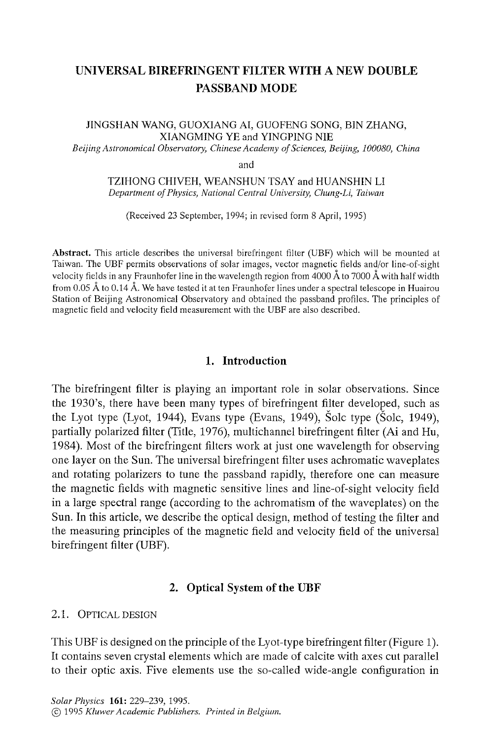# **UNIVERSAL BIREFRINGENT FILTER WITH A NEW DOUBLE PASSBAND MODE**

## JINGSHAN WANG, GUOXIANG AI, GUOFENG SONG, BIN ZHANG, XIANGMING YE and YINGPING NIE

*Beijing Astronomical Observatory, Chinese Academy of Sciences, Beijing, 100080, China* 

and

TZIHONG CHIVEH, WEANSHUN TSAY and HUANSHIN LI *Department of Physics, National Central University, Chung-Li, Taiwan* 

(Received 23 September, 1994; in revised form 8 April, 1995)

Abstract. This article describes the universal birefringent filter (UBF) which will be mounted at Taiwan. The UBF permits observations of solar images, vector magnetic fields and/or line-of-sight velocity fields in any Fraunhofer line in the wavelength region from 4000 Å to 7000 Å with half width from 0.05 A to 0.14 A. We have tested it at ten Fraunhofer lines under a spectral telescope in Huairou Station of Beijing Astronomical Observatory and obtained the passband profiles. The principles of magnetic field and velocity field measurement with the UBF are also described.

# **1. Introduction**

The birefringent filter is playing an important role in solar observations. Since the 1930's, there have been many types of birefringent filter developed, such as the Lyot type (Lyot, 1944), Evans type (Evans, 1949), Šolc type (Šolc, 1949), partially polarized filter (Title, 1976), multichannel birefringent filter (Ai and Hu, 1984). Most of the birefringent filters work at just one wavelength for observing one layer on the Sun. The universal birefringent filter uses achromatic waveplates and rotating polarizers to tune the passband rapidly, therefore one can measure the magnetic fields with magnetic sensitive lines and line-of-sight velocity field in a large spectral range (according to the achromatism of the waveplates) on the Sun. In this article, we describe the optical design, method of testing the filter and the measuring principles of the magnetic field and velocity field of the universal birefringent filter (UBF).

## 2. Optical System of the **UBF**

## 2.1. OPTICAL DESIGN

This UBF is designed on the principle of the Lyot-type birefringent filter (Figure 1). It contains seven crystal elements which are made of calcite with axes cut parallel to their optic axis. Five elements use the so-called wide-angle configuration in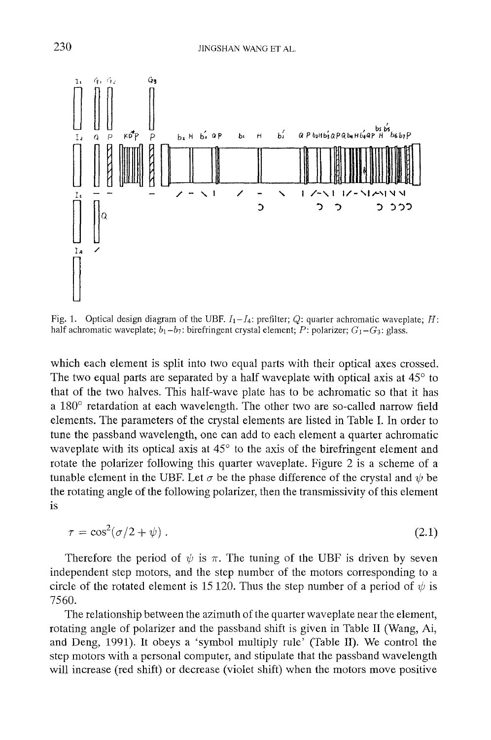

Fig. 1. Optical design diagram of the UBF.  $I_1-I_4$ : prefilter; Q: quarter achromatic waveplate; H: half achromatic waveplate;  $b_1-b_7$ : birefringent crystal element; P: polarizer;  $G_1-G_3$ : glass.

which each element is split into two equal parts with their optical axes crossed. The two equal parts are separated by a half waveplate with optical axis at  $45^\circ$  to that of the two halves. This half-wave plate has to be achromatic so that it has a  $180^\circ$  retardation at each wavelength. The other two are so-called narrow field elements. The parameters of the crystal elements are listed in Table I. In order to tune the passband wavelength, one can add to each element a quarter achromatic waveplate with its optical axis at  $45^{\circ}$  to the axis of the birefringent element and rotate the polarizer following this quarter waveplate. Figure 2 is a scheme of a tunable element in the UBF. Let  $\sigma$  be the phase difference of the crystal and  $\psi$  be the rotating angle of the following polarizer, then the transmissivity of this element is

$$
\tau = \cos^2(\sigma/2 + \psi) \tag{2.1}
$$

Therefore the period of  $\psi$  is  $\pi$ . The tuning of the UBF is driven by seven independent step motors, and the step number of the motors corresponding to a circle of the rotated element is 15 120. Thus the step number of a period of  $\psi$  is 7560.

The relationship between the azimuth of the quarter waveplate near the element, rotating angle of polarizer and the passband shift is given in Table II (Wang, Ai, and Deng, 1991). It obeys a 'symbol multiply rule' (Table II). We control the step motors with a personal computer, and stipulate that the passband wavelength will increase (red shift) or decrease (violet shift) when the motors move positive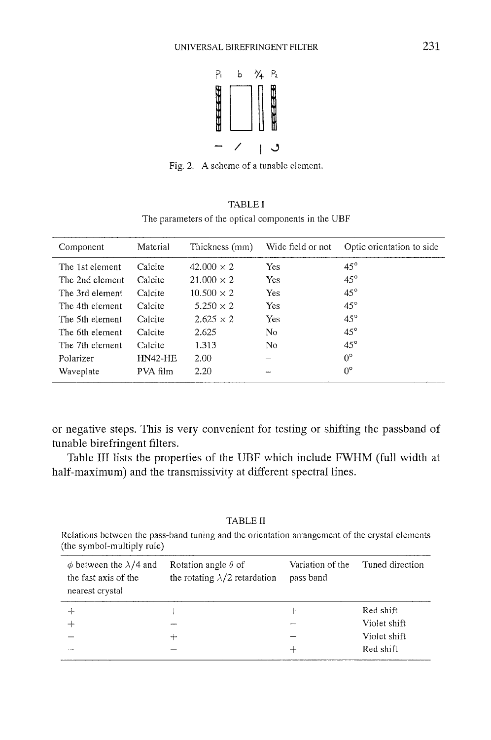

Fig. 2. A scheme of a tunable element.

| <b>TABLE I</b>                                      |  |
|-----------------------------------------------------|--|
| The parameters of the optical components in the UBF |  |

| Component       | Material       | Thickness (mm)    | Wide field or not | Optic orientation to side. |
|-----------------|----------------|-------------------|-------------------|----------------------------|
| The 1st element | Calcite        | $42.000 \times 2$ | <b>Yes</b>        | $45^\circ$                 |
| The 2nd element | Calcite        | $21.000 \times 2$ | <b>Yes</b>        | $45^\circ$                 |
| The 3rd element | Calcite        | $10.500 \times 2$ | Yes               | $45^\circ$                 |
| The 4th element | Calcite        | $5.250 \times 2$  | <b>Yes</b>        | $45^{\circ}$               |
| The 5th element | Calcite        | $2.625 \times 2$  | Yes.              | $45^{\circ}$               |
| The 6th element | Calcite        | 2.625             | No                | $45^\circ$                 |
| The 7th element | Calcite        | 1.313             | No                | $45^{\circ}$               |
| Polarizer       | <b>HN42-HE</b> | 2.00              |                   | $0^{\circ}$                |
| Waveplate       | PVA film       | 2.20              | -~                | $0^{\circ}$                |

or negative steps. This is very convenient for testing or shifting the passband of tunable birefringent filters.

Table III lists the properties of the UBF which include FWHM (full width at half-maximum) and the transmissivity at different spectral lines.

TABLE II

Relations between the pass-band tuning and the orientation arrangement of the crystal elements (the symbol-multiply rule)

| $\phi$ between the $\lambda/4$ and<br>the fast axis of the<br>nearest crystal | Rotation angle $\theta$ of<br>the rotating $\lambda/2$ retardation | Variation of the<br>pass band | Tuned direction |
|-------------------------------------------------------------------------------|--------------------------------------------------------------------|-------------------------------|-----------------|
|                                                                               |                                                                    |                               | Red shift       |
|                                                                               |                                                                    |                               | Violet shift    |
|                                                                               | ╼┿                                                                 |                               | Violet shift    |
| سدد                                                                           |                                                                    | $-$                           | Red shift       |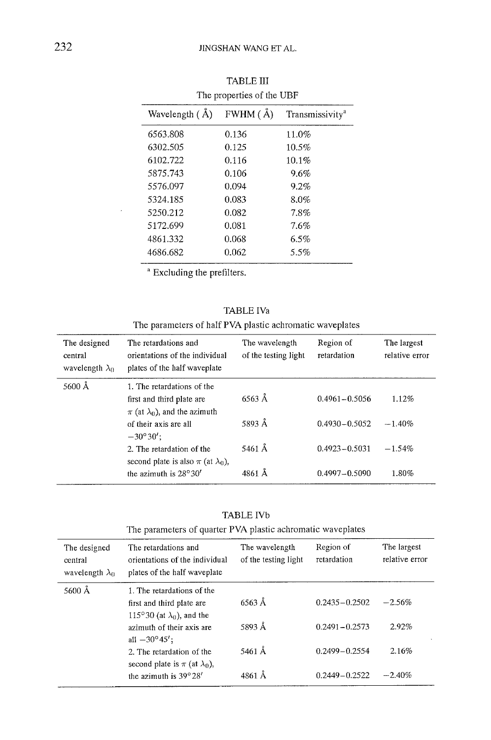| The properties of the ODI |           |                             |  |  |
|---------------------------|-----------|-----------------------------|--|--|
| Wavelength (Å)            | FWHM ( Å) | Transmissivity <sup>a</sup> |  |  |
| 6563.808                  | 0.136     | 11.0%                       |  |  |
| 6302.505                  | 0.125     | 10.5%                       |  |  |
| 6102.722                  | 0.116     | 10.1%                       |  |  |
| 5875.743                  | 0.106     | 9.6%                        |  |  |
| 5576.097                  | 0.094     | 9.2%                        |  |  |
| 5324.185                  | 0.083     | $8.0\%$                     |  |  |
| 5250.212                  | 0.082     | 7.8%                        |  |  |
| 5172.699                  | 0.081     | 7.6%                        |  |  |
| 4861.332                  | 0.068     | 6.5%                        |  |  |
| 4686.682                  | 0.062     | 5.5%                        |  |  |
|                           |           |                             |  |  |

TABLE III The properties of the UBF

<sup>a</sup> Excluding the prefilters.

TABLE IVa

The parameters of half PVA plastic achromatic waveplates

| The designed<br>central<br>wavelength $\lambda_0$ | The retardations and<br>orientations of the individual<br>plates of the half waveplate              | The wavelength<br>of the testing light | Region of<br>retardation | The largest<br>relative error |
|---------------------------------------------------|-----------------------------------------------------------------------------------------------------|----------------------------------------|--------------------------|-------------------------------|
| 5600 Å                                            | 1. The retardations of the<br>first and third plate are<br>$\pi$ (at $\lambda_0$ ), and the azimuth | $6563 \text{ Å}$                       | $0.4961 - 0.5056$        | 1.12%                         |
|                                                   | of their axis are all<br>$-30^{\circ}30'$ :                                                         | 5893 Å                                 | $0.4930 - 0.5052$        | $-1.40%$                      |
|                                                   | 2. The retardation of the<br>second plate is also $\pi$ (at $\lambda_0$ ),                          | 5461 Å                                 | $0.4923 - 0.5031$        | $-1.54%$                      |
|                                                   | the azimuth is $28^{\circ}30'$                                                                      | 4861 Å                                 | $0.4997 - 0.5090$        | 1.80%                         |

TABLE IVb

| The parameters of quarter PVA plastic achromatic waveplates |                                                                                              |                                        |                          |                               |
|-------------------------------------------------------------|----------------------------------------------------------------------------------------------|----------------------------------------|--------------------------|-------------------------------|
| The designed<br>central<br>wavelength $\lambda_0$           | The retardations and<br>orientations of the individual<br>plates of the half waveplate       | The wavelength<br>of the testing light | Region of<br>retardation | The largest<br>relative error |
| 5600 Å                                                      | 1. The retardations of the<br>first and third plate are<br>115°30 (at $\lambda_0$ ), and the | 6563 Å                                 | $0.2435 - 0.2502$        | $-2.56%$                      |
|                                                             | azimuth of their axis are<br>all $-30^{\circ}45'$ ;                                          | 5893 Å                                 | $0.2491 - 0.2573$        | 2.92%                         |
|                                                             | 2. The retardation of the<br>second plate is $\pi$ (at $\lambda_0$ ),                        | 5461 Å                                 | $0.2499 - 0.2554$        | 2.16%                         |
|                                                             | the azimuth is 39°28'                                                                        | 4861 Å                                 | $0.2449 - 0.2522$        | $-2.40%$                      |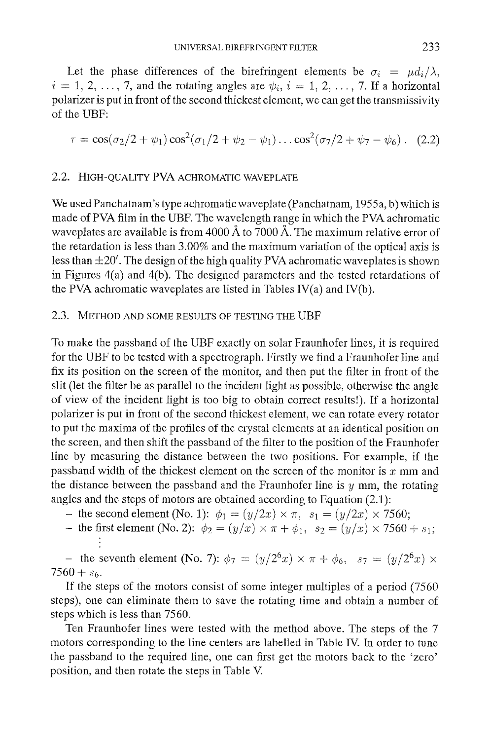Let the phase differences of the birefringent elements be  $\sigma_i = \mu d_i/\lambda$ ,  $i = 1, 2, \ldots, 7$ , and the rotating angles are  $\psi_i$ ,  $i = 1, 2, \ldots, 7$ . If a horizontal polarizer is put in front of the second thickest element, we can get the transmissivity of the UBF:

$$
\tau = \cos(\sigma_2/2 + \psi_1)\cos^2(\sigma_1/2 + \psi_2 - \psi_1)\dots\cos^2(\sigma_7/2 + \psi_7 - \psi_6).
$$
 (2.2)

## 2.2. HIGH-QUALITY PVA ACHROMATIC WAVEPLATE

We used Panchatnam's type achromatic waveplate (Panchatnam, 1955a, b) which is made of PVA film in the UBF. The wavelength range in which the PVA achromatic waveplates are available is from 4000 Å to 7000 Å. The maximum relative error of the retardation is less than 3.00% and the maximum variation of the optical axis is less than  $\pm 20'$ . The design of the high quality PVA achromatic waveplates is shown in Figures 4(a) and 4(b). The designed parameters and the tested retardations of the PVA achromatic waveplates are listed in Tables IV(a) and IV(b).

## 2.3. METHOD AND SOME RESULTS OF TESTING THE UBF

To make the passband of the UBF exactly on solar Fraunhofer lines, it is required for the UBF to be tested with a spectrograph. Firstly we find a Fraunhofer line and fix its position on the screen of the monitor, and then put the filter in front of the slit (let the filter be as parallel to the incident light as possible, otherwise the angle of view of the incident light is too big to obtain correct results!). If a horizontal polarizer is put in front of the second thickest element, we can rotate every rotator to put the maxima of the profiles of the crystal elements at an identical position on the screen, and then shift the passband of the filter to the position of the Fraunhofer line by measuring the distance between the two positions. For example, if the passband width of the thickest element on the screen of the monitor is  $x$  mm and the distance between the passband and the Fraunhofer line is  $y$  mm, the rotating angles and the steps of motors are obtained according to Equation (2.1):

- the second element (No. 1):  $\phi_1 = (y/2x) \times \pi$ ,  $s_1 = (y/2x) \times 7560$ ;
- the first element (No. 2):  $\phi_2 = (y/x) \times \pi + \phi_1$ ,  $s_2 = (y/x) \times 7560 + s_1$ ;

- the seventh element (No. 7):  $\phi_7 = (y/2^6 x) \times \pi + \phi_6$ ,  $s_7 = (y/2^6 x) \times$  $7560 + s_6$ .

If the steps of the motors consist of some integer multiples of a period (7560 steps), one can eliminate them to save the rotating time and obtain a number of steps which is less than 7560.

Ten Fraunhofer lines were tested with the method above. The steps of the 7 motors corresponding to the line centers are labelled in Table IV. In order to tune the passband to the required line, one can first get the motors back to the 'zero' position, and then rotate the steps in Table V.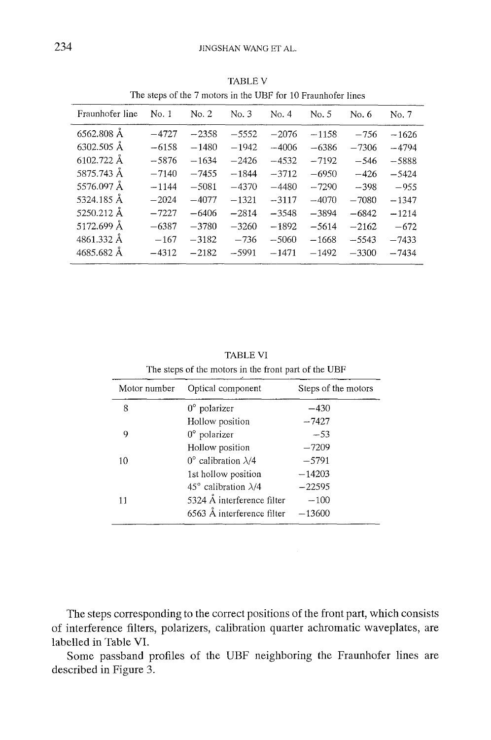l.  $\overline{a}$ 

| The steps of the 7 motors in the UBF for 10 Fraunhoter lines |         |         |         |         |         |         |         |
|--------------------------------------------------------------|---------|---------|---------|---------|---------|---------|---------|
| Fraunhofer line                                              | No. 1   | No. 2   | No. 3   | No. 4   | No. 5   | No. 6   | No. 7   |
| 6562.808 Å                                                   | $-4727$ | $-2358$ | $-5552$ | $-2076$ | $-1158$ | $-756$  | $-1626$ |
| 6302.505 Å                                                   | $-6158$ | $-1480$ | $-1942$ | $-4006$ | $-6386$ | $-7306$ | $-4794$ |
| 6102.722 Å                                                   | $-5876$ | $-1634$ | $-2426$ | $-4532$ | $-7192$ | $-546$  | $-5888$ |
| 5875.743 Å                                                   | $-7140$ | $-7455$ | $-1844$ | $-3712$ | $-6950$ | $-426$  | $-5424$ |
| 5576.097 Å                                                   | $-1144$ | $-5081$ | $-4370$ | $-4480$ | $-7290$ | $-398$  | $-955$  |
| 5324.185 Å                                                   | $-2024$ | $-4077$ | $-1321$ | $-3117$ | $-4070$ | $-7080$ | $-1347$ |
| 5250.212 Å                                                   | $-7227$ | $-6406$ | $-2814$ | $-3548$ | $-3894$ | $-6842$ | $-1214$ |
| 5172.699 Å                                                   | $-6387$ | $-3780$ | $-3260$ | $-1892$ | $-5614$ | $-2162$ | $-672$  |
| 4861.332 Å                                                   | $-167$  | $-3182$ | $-736$  | $-5060$ | $-1668$ | $-5543$ | $-7433$ |
| 4685.682 Å                                                   | $-4312$ | $-2182$ | $-5991$ | $-1471$ | $-1492$ | $-3300$ | $-7434$ |

TABLE V The steps of the 7 motors in the UBF for 10 Fraunhofer lines

TABLE VI The steps of the motors in the front part of the UBF

| Motor number | Optical component                     | Steps of the motors |
|--------------|---------------------------------------|---------------------|
| 8            | $0^{\circ}$ polarizer                 | $-430$              |
|              | Hollow position                       | $-7427$             |
| 9            | $0^{\circ}$ polarizer                 | $-53$               |
|              | Hollow position                       | $-7209$             |
| 10           | $0^{\circ}$ calibration $\lambda/4$   | $-5791$             |
|              | 1st hollow position                   | $-14203$            |
|              | 45 $\degree$ calibration $\lambda$ /4 | $-22595$            |
| 11           | 5324 $\AA$ interference filter        | $-100$              |
|              | $6563$ Å interference filter          | $-13600$            |

The steps corresponding to the correct positions of the front part, which consists of interference filters, polarizers, calibration quarter achromatic waveplates, are labelled in Table VI.

Some passband profiles of the UBF neighboring the Fraunhofer lines are described in Figure 3.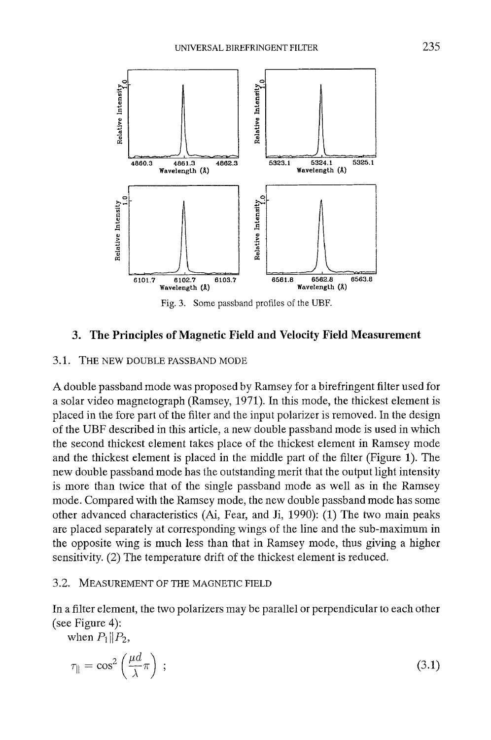

Fig. 3. Some passband profiles of the UBF.

## **3. The Principles of Magnetic Field and Velocity Field Measurement**

#### 3.1. THE NEW DOUBLE PASSBAND MODE

A double passband mode was proposed by Ramsey for a birefringent filter used for a solar video magnetograph (Ramsey, 1971). In this mode, the thickest element is placed in the fore part of the filter and the input polarizer is removed. In the design of the UBF described in this article, a new double passband mode is used in which the second thickest element takes place of the thickest element in Ramsey mode and the thickest element is placed in the middle part of the filter (Figure 1). The new double passband mode has the outstanding merit that the output light intensity is more than twice that of the single passband mode as well as in the Ramsey mode. Compared with the Ramsey mode, the new double passband mode has some other advanced characteristics (Ai, Fear, and Ji, 1990): (1) The two main peaks are placed separately at corresponding wings of the line and the sub-maximum in the opposite wing is much less than that in Ramsey mode, thus giving a higher sensitivity. (2) The temperature drift of the thickest element is reduced.

## 3.2. MEASUREMENT OF THE MAGNETIC FIELD

In a filter element, the two polarizers may be parallel or perpendicular to each other (see Figure 4):

when  $P_1 || P_2$ ,

$$
\tau_{\parallel} = \cos^2\left(\frac{\mu d}{\lambda}\pi\right) \tag{3.1}
$$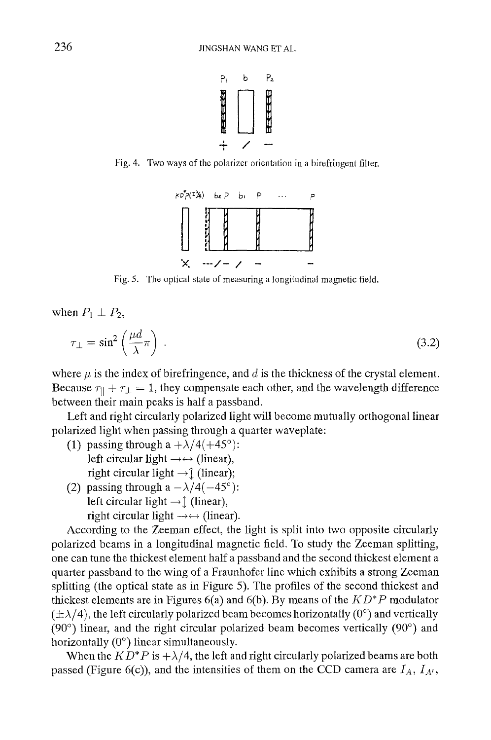

Fig. 4. Two ways of the polarizer orientation in a birefringent filter.



Fig. 5. The optical state of measuring a longitudinal magnetic field.

when  $P_1 \perp P_2$ ,

$$
\tau_{\perp} = \sin^2\left(\frac{\mu d}{\lambda}\pi\right) \tag{3.2}
$$

where  $\mu$  is the index of birefringence, and d is the thickness of the crystal element. Because  $\tau_{11} + \tau_{1} = 1$ , they compensate each other, and the wavelength difference between their main peaks is half a passband.

Left and right circularly polarized light will become mutually orthogonal linear polarized light when passing through a quarter waveplate:

- (1) passing through a  $+\lambda/4(+45^{\circ})$ : left circular light  $\rightarrow \leftrightarrow$  (linear), right circular light  $\rightarrow \hat{\mathbb{I}}$  (linear);
- (2) passing through a  $-\lambda/4(-45^{\circ})$ : left circular light  $\rightarrow \uparrow$  (linear), right circular light  $\rightarrow \leftrightarrow$  (linear).

According to the Zeeman effect, the light is split into two opposite circularly polarized beams in a longitudinal magnetic field. To study the Zeeman splitting, one can tune the thickest element half a passband and the second thickest element a quarter passband to the wing of a Fraunhofer line which exhibits a strong Zeeman splitting (the optical state as in Figure 5). The profiles of the second thickest and thickest elements are in Figures 6(a) and 6(b). By means of the *KD\*P* modulator  $(\pm \lambda/4)$ , the left circularly polarized beam becomes horizontally (0<sup>o</sup>) and vertically (90 $\degree$ ) linear, and the right circular polarized beam becomes vertically (90 $\degree$ ) and horizontally  $(0^{\circ})$  linear simultaneously.

When the  $KD^*P$  is  $+\lambda/4$ , the left and right circularly polarized beams are both passed (Figure 6(c)), and the intensities of them on the CCD camera are  $I_A$ ,  $I_{A'}$ ,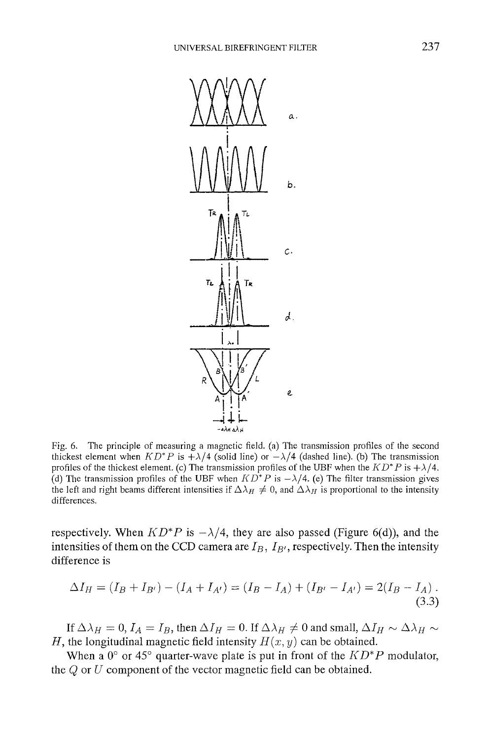

Fig. 6. The principle of measuring a magnetic field. (a) The transmission profiles of the second thickest element when  $KD^*P$  is  $+\lambda/4$  (solid line) or  $-\lambda/4$  (dashed line). (b) The transmission profiles of the thickest element. (c) The transmission profiles of the UBF when the  $KD^*P$  is  $+\lambda/4$ . (d) The transmission profiles of the UBF when  $KD^*P$  is  $-\lambda/4$ . (e) The filter transmission gives the left and right beams different intensities if  $\Delta \lambda_H \neq 0$ , and  $\Delta \lambda_H$  is proportional to the intensity differences.

respectively. When  $KD^*P$  is  $-\lambda/4$ , they are also passed (Figure 6(d)), and the intensities of them on the CCD camera are  $I_B$ ,  $I_{B'}$ , respectively. Then the intensity difference is

$$
\Delta I_H = (I_B + I_{B'}) - (I_A + I_{A'}) = (I_B - I_A) + (I_{B'} - I_{A'}) = 2(I_B - I_A).
$$
\n(3.3)

If  $\Delta \lambda_H = 0$ ,  $I_A = I_B$ , then  $\Delta I_H = 0$ . If  $\Delta \lambda_H \neq 0$  and small,  $\Delta I_H \sim \Delta \lambda_H \sim$ H, the longitudinal magnetic field intensity  $H(x, y)$  can be obtained.

When a  $0^{\circ}$  or 45° quarter-wave plate is put in front of the  $KD^*P$  modulator, the  $Q$  or  $U$  component of the vector magnetic field can be obtained.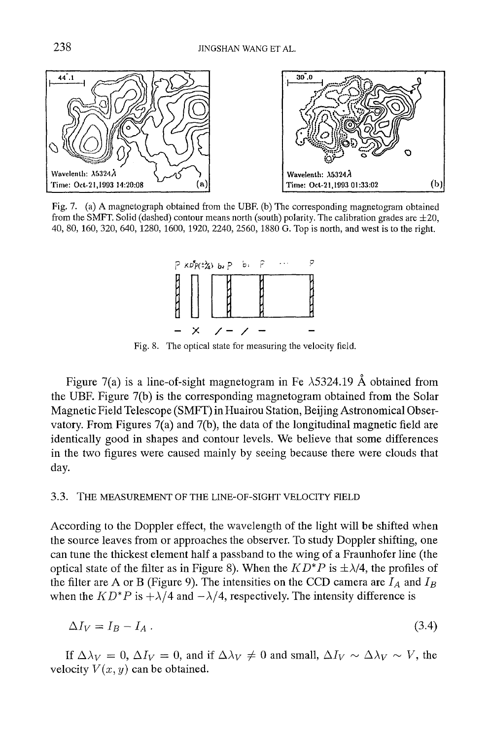

Fig. 7. (a) A magnetograph obtained from the UBF. (b) The corresponding magnetogram obtained from the SMFT. Solid (dashed) contour means north (south) polarity. The calibration grades are  $\pm 20$ , 40, 80, 160, 320, 640, 1280, 1600, 1920, 2240, 2560, 1880 G. Top is north, and west is to the right.



**Fig.** 8. The optical state for measuring the velocity field.

Figure 7(a) is a line-of-sight magnetogram in Fe  $\lambda$ 5324.19 Å obtained from the UBF. Figure 7(b) is the corresponding magnetogram obtained from the Solar Magnetic Field Telescope (SMFT) in Huairou Station, Beijing Astronomical Observatory. From Figures 7(a) and 7(b), the data of the longitudinal magnetic field are identically good in shapes and contour levels. We believe that some differences in the two figures were caused mainly by seeing because there were clouds that day.

### 3.3. THE MEASUREMENT OF THE LINE-OF-SIGHT VELOCITY FIELD

According to the Doppler effect, the wavelength of the light will be shifted when the source leaves from or approaches the observer. To study Doppler shifting, one can tune the thickest element half a passband to the wing of a Fraunhofer line (the optical state of the filter as in Figure 8). When the  $KD^*P$  is  $\pm \lambda/4$ , the profiles of the filter are A or B (Figure 9). The intensities on the CCD camera are  $I_A$  and  $I_B$ when the  $KD^*P$  is  $+\lambda/4$  and  $-\lambda/4$ , respectively. The intensity difference is

$$
\Delta I_V = I_B - I_A \tag{3.4}
$$

If  $\Delta \lambda_V = 0$ ,  $\Delta I_V = 0$ , and if  $\Delta \lambda_V \neq 0$  and small,  $\Delta I_V \sim \Delta \lambda_V \sim V$ , the velocity  $V(x, y)$  can be obtained.